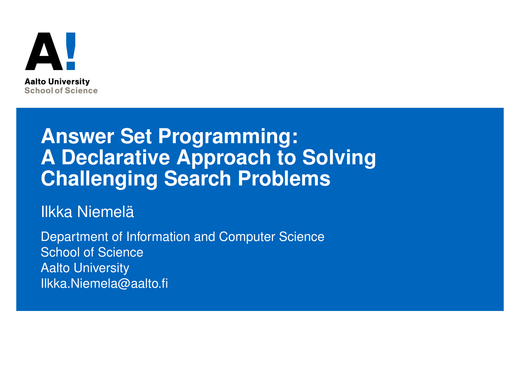

#### **Answer Set Programming: A Declarative Approach to Solving Challenging Search Problems**

Ilkka Niemelä

Department of Information and Computer Science School of Science Aalto University Ilkka.Niemela@aalto.fi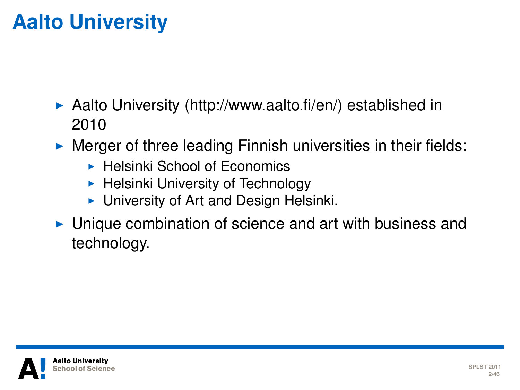### **Aalto University**

- $\triangleright$  Aalto University (http://www.aalto.fi/en/) established in 2010
- $\triangleright$  Merger of three leading Finnish universities in their fields:
	- $\blacktriangleright$  Helsinki School of Economics
	- $\blacktriangleright$  Helsinki University of Technology
	- $\triangleright$  University of Art and Design Helsinki.
- $\triangleright$  Unique combination of science and art with business and technology.

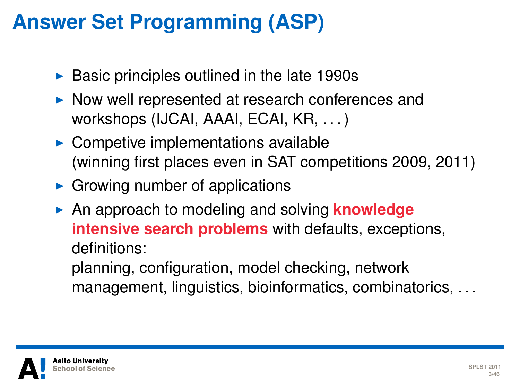### **Answer Set Programming (ASP)**

- $\triangleright$  Basic principles outlined in the late 1990s
- $\triangleright$  Now well represented at research conferences and workshops (IJCAI, AAAI, ECAI, KR, ...)
- $\triangleright$  Competive implementations available (winning first places even in SAT competitions 2009, 2011)
- $\triangleright$  Growing number of applications
- **An approach to modeling and solving knowledge intensive search problems** with defaults, exceptions, definitions:

planning, configuration, model checking, network management, linguistics, bioinformatics, combinatorics, . . .

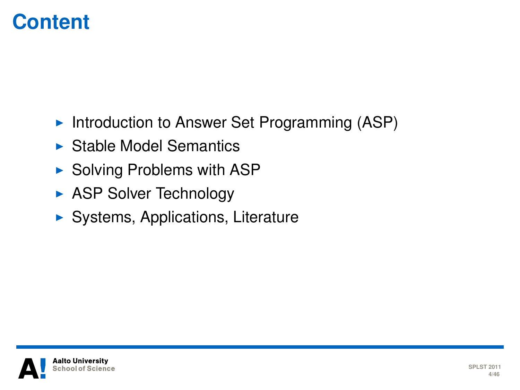#### **Content**

- Introduction to Answer Set Programming  $(ASP)$
- $\triangleright$  Stable Model Semantics
- $\triangleright$  Solving Problems with ASP
- $\triangleright$  ASP Solver Technology
- $\blacktriangleright$  Systems, Applications, Literature

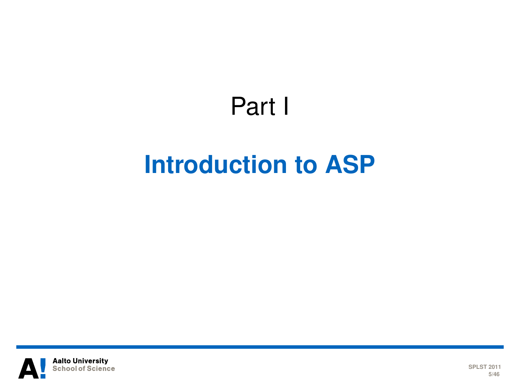# Part I **[Introduction to ASP](#page-4-0)**

<span id="page-4-0"></span>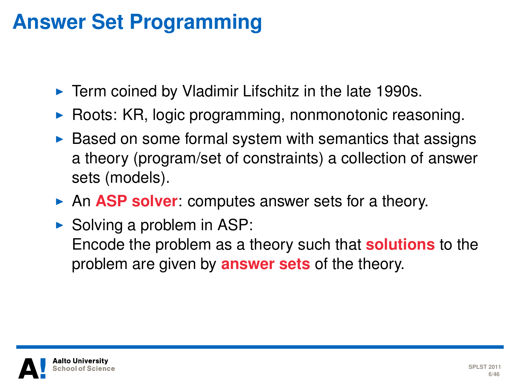### **Answer Set Programming**

- $\blacktriangleright$  Term coined by Vladimir Lifschitz in the late 1990s.
- $\triangleright$  Roots: KR, logic programming, nonmonotonic reasoning.
- $\triangleright$  Based on some formal system with semantics that assigns a theory (program/set of constraints) a collection of answer sets (models).
- **An ASP solver:** computes answer sets for a theory.
- $\triangleright$  Solving a problem in ASP: Encode the problem as a theory such that **solutions** to the problem are given by **answer sets** of the theory.

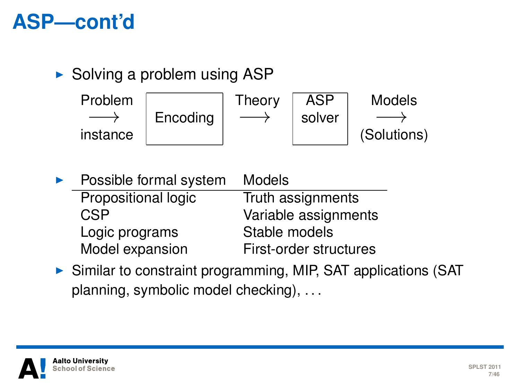#### **ASP—cont'd**

 $\triangleright$  Solving a problem using ASP

Problem −→ instance **Encoding** Theory  $\longrightarrow$ ASP solver Models  $\longrightarrow$ (Solutions)

| Possible formal system | <b>Models</b>          |
|------------------------|------------------------|
| Propositional logic    | Truth assignments      |
| CSP                    | Variable assignments   |
| Logic programs         | Stable models          |
| Model expansion        | First-order structures |
|                        |                        |

 $\triangleright$  Similar to constraint programming, MIP, SAT applications (SAT planning, symbolic model checking), . . .

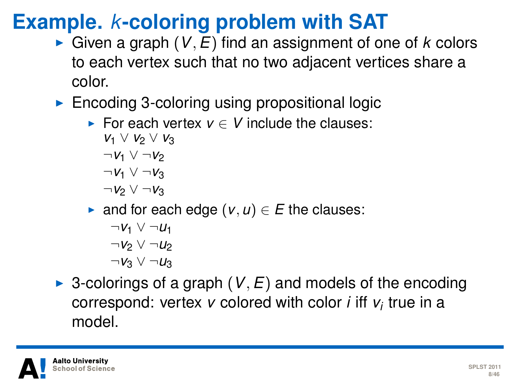### **Example.** *k***-coloring problem with SAT**

- $\triangleright$  Given a graph (*V*, *E*) find an assignment of one of *k* colors to each vertex such that no two adjacent vertices share a color.
- $\blacktriangleright$  Encoding 3-coloring using propositional logic
	- For each vertex  $v \in V$  include the clauses:
		- *v*<sub>1</sub> ∨ *v*<sub>2</sub> ∨ *v*<sub>3</sub>  $\neg$ *V*<sub>1</sub> ∨  $\neg$ *V*<sub>2</sub> ¬*v*<sup>1</sup> ∨ ¬*v*<sup>3</sup>
		- ¬*v*<sup>2</sup> ∨ ¬*v*<sup>3</sup>
	- $\triangleright$  and for each edge  $(v, u) \in E$  the clauses:
		- $\neg$ *v*<sub>1</sub>  $\vee$   $\neg$ *u*<sub>1</sub> ¬*v*<sup>2</sup> ∨ ¬*u*<sup>2</sup> ¬*v*<sup>3</sup> ∨ ¬*u*<sup>3</sup>
- $\triangleright$  3-colorings of a graph (*V*, *E*) and models of the encoding correspond: vertex *v* colored with color *i* iff *v<sup>i</sup>* true in a model.

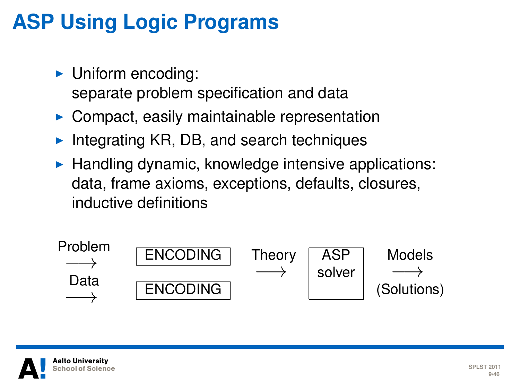### **ASP Using Logic Programs**

- $\blacktriangleright$  Uniform encoding: separate problem specification and data
- $\triangleright$  Compact, easily maintainable representation
- Integrating KR, DB, and search techniques
- $\blacktriangleright$  Handling dynamic, knowledge intensive applications: data, frame axioms, exceptions, defaults, closures, inductive definitions



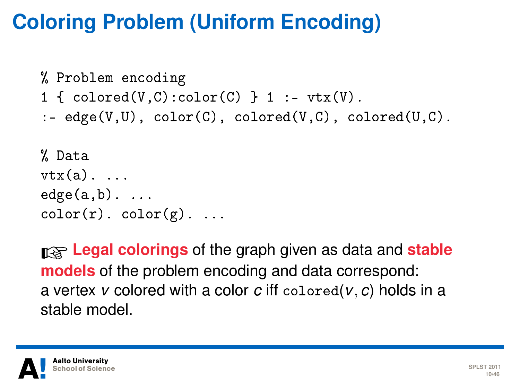### **Coloring Problem (Uniform Encoding)**

```
% Problem encoding
1 \{ colored(V, C): color(C) \} 1 := vtx(V).
:- edge(V,U), color(C), colored(V,C), colored(U,C).
% Data
vtx(a). ...
edge(a,b). ...
color(r). color(g). ...
```
☞**Legal colorings** of the graph given as data and **stable models** of the problem encoding and data correspond: a vertex *v* colored with a color *c* iff colored(*v*, *c*) holds in a stable model.

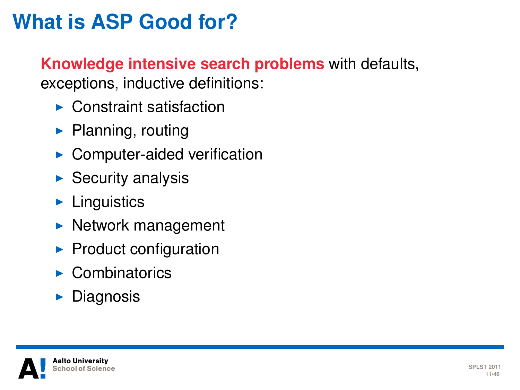### **What is ASP Good for?**

#### **Knowledge intensive search problems** with defaults, exceptions, inductive definitions:

- $\blacktriangleright$  Constraint satisfaction
- $\blacktriangleright$  Planning, routing
- $\blacktriangleright$  Computer-aided verification
- $\blacktriangleright$  Security analysis
- $\blacktriangleright$  Linguistics
- $\blacktriangleright$  Network management
- $\blacktriangleright$  Product configuration
- $\blacktriangleright$  Combinatorics
- $\blacktriangleright$  Diagnosis

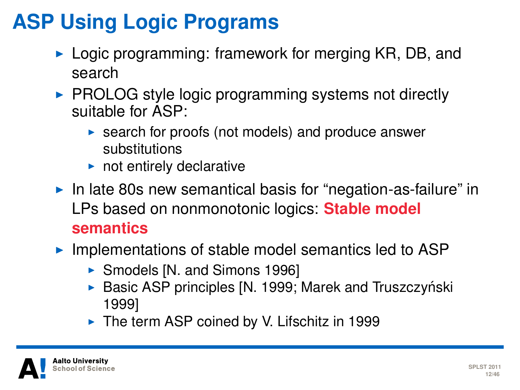### **ASP Using Logic Programs**

- $\triangleright$  Logic programming: framework for merging KR, DB, and search
- $\triangleright$  PROLOG style logic programming systems not directly suitable for ASP:
	- $\triangleright$  search for proofs (not models) and produce answer substitutions
	- $\blacktriangleright$  not entirely declarative
- In late 80s new semantical basis for "negation-as-failure" in LPs based on nonmonotonic logics: **Stable model semantics**
- $\blacktriangleright$  Implementations of stable model semantics led to ASP
	- ▶ Smodels [N. and Simons 1996]
	- $\triangleright$  Basic ASP principles [N. 1999; Marek and Truszczyński 1999]
	- $\blacktriangleright$  The term ASP coined by V. Lifschitz in 1999

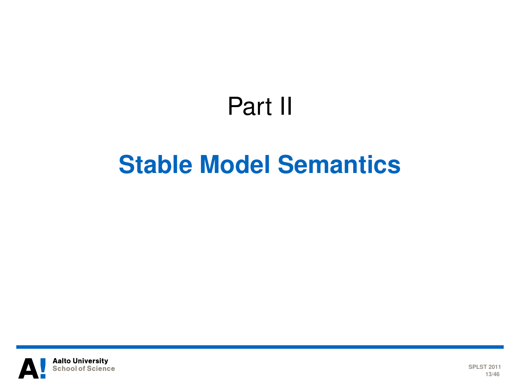# Part II

## **[Stable Model Semantics](#page-12-0)**

<span id="page-12-0"></span>

**SPLST 2011 13/46**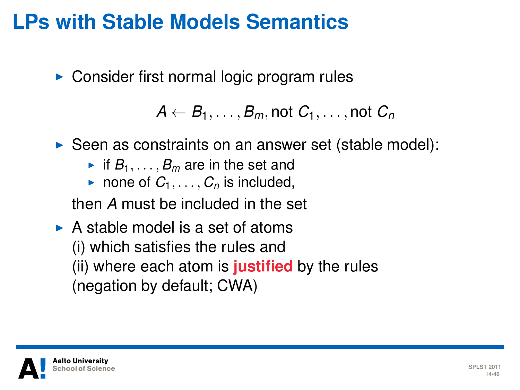#### **LPs with Stable Models Semantics**

 $\triangleright$  Consider first normal logic program rules

 $A \leftarrow B_1, \ldots, B_m$ , not  $C_1, \ldots,$  not  $C_n$ 

- $\triangleright$  Seen as constraints on an answer set (stable model):
	- If  $B_1, \ldots, B_m$  are in the set and
	- none of  $C_1, \ldots, C_n$  is included,

then *A* must be included in the set

 $\triangleright$  A stable model is a set of atoms (i) which satisfies the rules and (ii) where each atom is **justified** by the rules (negation by default; CWA)

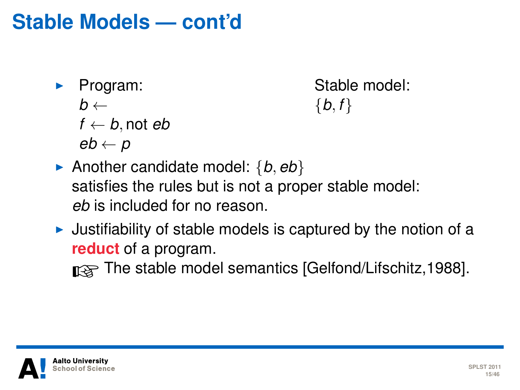#### **Stable Models — cont'd**

**Program:**  $b \leftarrow$  $f \leftarrow b$ , not *eb eb* ← *p*

Stable model:  ${b, f}$ 

- Another candidate model:  $\{b, eb\}$ satisfies the rules but is not a proper stable model: *eb* is included for no reason.
- $\triangleright$  Justifiability of stable models is captured by the notion of a **reduct** of a program.

netative model semantics [Gelfond/Lifschitz, 1988].

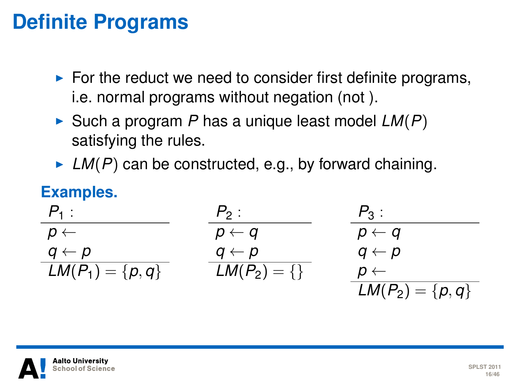#### **Definite Programs**

- $\blacktriangleright$  For the reduct we need to consider first definite programs, i.e. normal programs without negation (not ).
- $\triangleright$  Such a program *P* has a unique least model  $LM(P)$ satisfying the rules.
- $\blacktriangleright$  *LM(P)* can be constructed, e.g., by forward chaining.

#### **Examples.**

| $P_1$ :              | $P_2$ :          | $P_3$ :              |
|----------------------|------------------|----------------------|
| $p \leftarrow$       | $p \leftarrow q$ | $p \leftarrow q$     |
| $q \leftarrow p$     | $q \leftarrow p$ | $q \leftarrow p$     |
| $LM(P_1) = \{p, q\}$ | $LM(P_2) = \{\}$ | $p \leftarrow$       |
|                      |                  | $LM(P_2) = \{p, q\}$ |

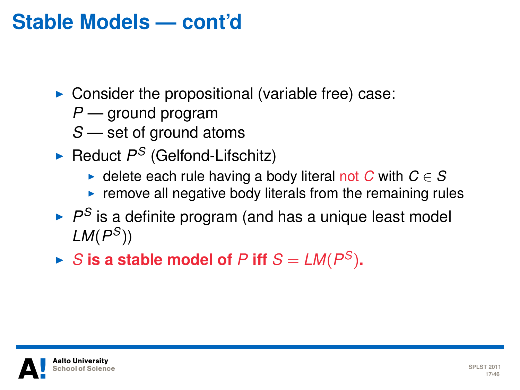#### **Stable Models — cont'd**

- $\triangleright$  Consider the propositional (variable free) case:
	- *P* ground program
	- *S* set of ground atoms
- ► Reduct P<sup>S</sup> (Gelfond-Lifschitz)
	- $\triangleright$  delete each rule having a body literal not *C* with *C* ∈ *S*
	- $\triangleright$  remove all negative body literals from the remaining rules
- $\blacktriangleright$   $P^S$  is a definite program (and has a unique least model *LM*(*P <sup>S</sup>*))
- $\blacktriangleright$  *S* is a stable model of *P* iff  $S = LM(P^S)$ .

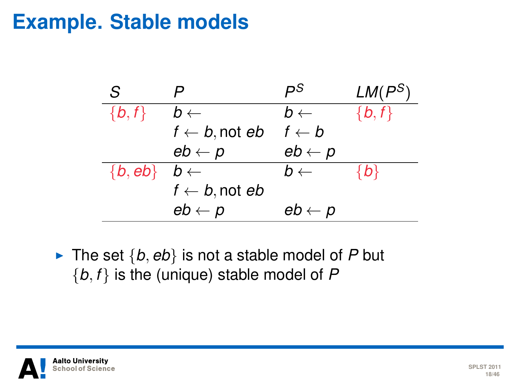#### **Example. Stable models**



If The set  $\{b, eb\}$  is not a stable model of P but {*b*, *f* } is the (unique) stable model of *P*

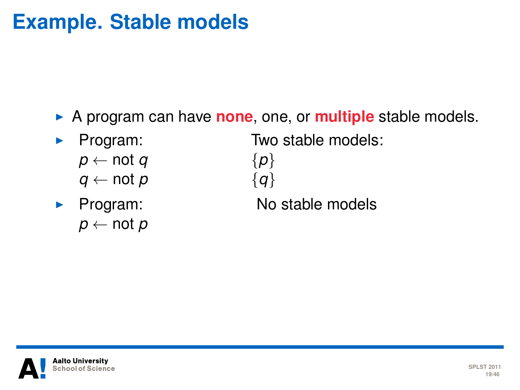#### **Example. Stable models**

A program can have **none**, one, or **multiple** stable models.

- Program:
	- $p \leftarrow$  not *q*
	- *q* ← not *p*
- $\blacktriangleright$  Program:  $p \leftarrow$  not *p*

Two stable models:

{*p*} {*q*} No stable models



**SPLST 2011 19/46**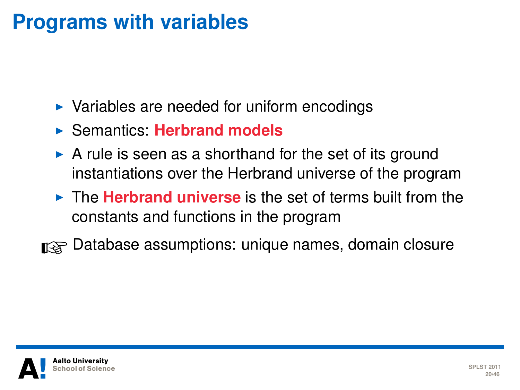#### **Programs with variables**

- $\triangleright$  Variables are needed for uniform encodings
- **Example 15 Semantics: Herbrand models**
- $\triangleright$  A rule is seen as a shorthand for the set of its ground instantiations over the Herbrand universe of the program
- **In The Herbrand universe** is the set of terms built from the constants and functions in the program
- nomes, domain closure names, domain closure

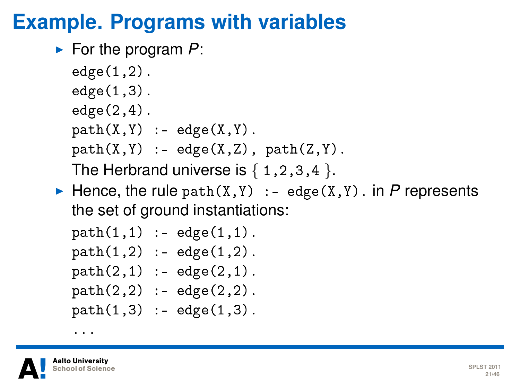#### **Example. Programs with variables**

► For the program *P*:

```
edge(1,2).
edge(1,3).
edge(2,4).
path(X, Y) :- edge(X, Y).
path(X, Y) :- edge(X, Z), path(Z, Y).
The Herbrand universe is \{1,2,3,4\}.
```
Hence, the rule path $(X, Y)$  :- edge $(X, Y)$ . in P represents the set of ground instantiations:

```
path(1,1) :- edge(1,1).
path(1,2) :- edge(1,2).
path(2,1) := edge(2,1).
path(2,2) :- edge(2,2).
path(1,3) : = edge(1,3).
```


...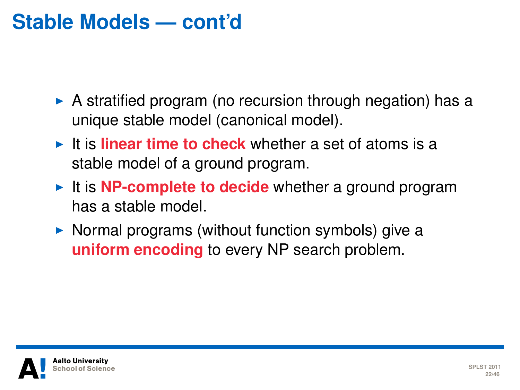#### **Stable Models — cont'd**

- $\triangleright$  A stratified program (no recursion through negation) has a unique stable model (canonical model).
- $\blacktriangleright$  It is **linear time to check** whether a set of atoms is a stable model of a ground program.
- It is **NP-complete to decide** whether a ground program has a stable model.
- $\triangleright$  Normal programs (without function symbols) give a **uniform encoding** to every NP search problem.

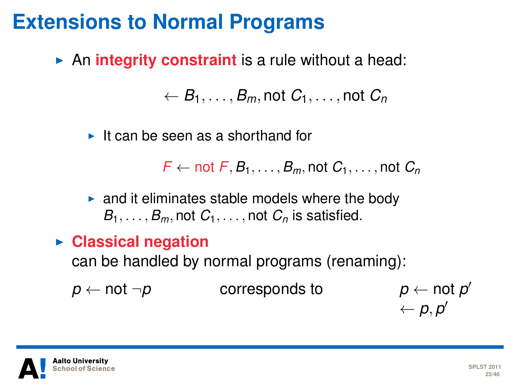#### **Extensions to Normal Programs**

**An integrity constraint** is a rule without a head:

 $\mathcal{C}_1, \ldots, \mathcal{B}_m$ , not  $C_1, \ldots$ , not  $C_n$ 

 $\blacktriangleright$  It can be seen as a shorthand for

 $F \leftarrow \text{not } F$ ,  $B_1, \ldots, B_m$ , not  $C_1, \ldots, \text{not } C_n$ 

- $\triangleright$  and it eliminates stable models where the body  $B_1, \ldots, B_m$ , not  $C_1, \ldots$ , not  $C_n$  is satisfied.
- **Exercise Classical negation**

can be handled by normal programs (renaming):

*p* ← not  $\neg p$  corresponds to

 $p \leftarrow \text{not } p'$  $\leftarrow p, p'$ 

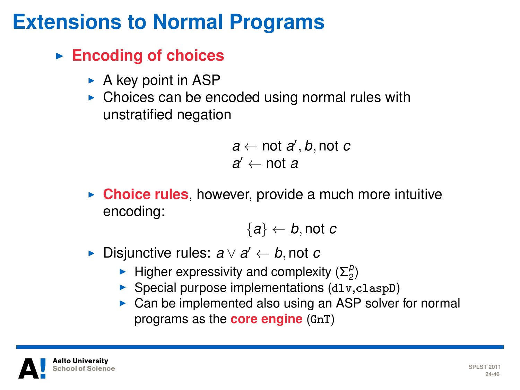#### **Extensions to Normal Programs**

- **Encoding of choices** 
	- $\triangleright$  A key point in ASP
	- $\triangleright$  Choices can be encoded using normal rules with unstratified negation

 $a \leftarrow \text{not } a', b, \text{not } c$ *a*′ ← not *a* 

► Choice rules, however, provide a much more intuitive encoding:

 ${a} \leftarrow b$ , not *c* 

- **►** Disjunctive rules:  $a \lor a' \leftarrow b$ , not *c* 
	- **Figher expressivity and complexity**  $(\Sigma_2^p)$
	- $\triangleright$  Special purpose implementations (dlv,claspD)
	- $\triangleright$  Can be implemented also using an ASP solver for normal programs as the **core engine** (GnT)

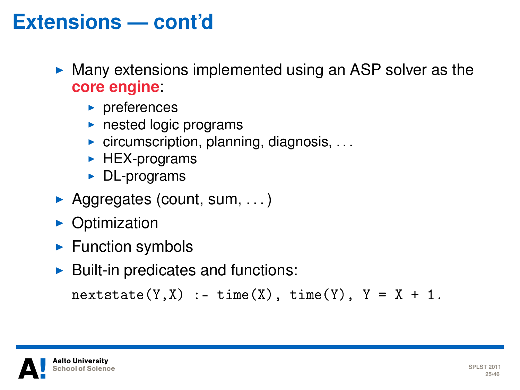#### **Extensions — cont'd**

- $\triangleright$  Many extensions implemented using an ASP solver as the **core engine**:
	- $\blacktriangleright$  preferences
	- $\blacktriangleright$  nested logic programs
	- $\triangleright$  circumscription, planning, diagnosis, ...
	- $\blacktriangleright$  HEX-programs
	- $\triangleright$  DL-programs
- Aggregates (count, sum,  $\dots$ )
- $\triangleright$  Optimization
- $\blacktriangleright$  Function symbols
- $\blacktriangleright$  Built-in predicates and functions:

```
nextstate(Y, X) :- time(X), time(Y), Y = X + 1.
```
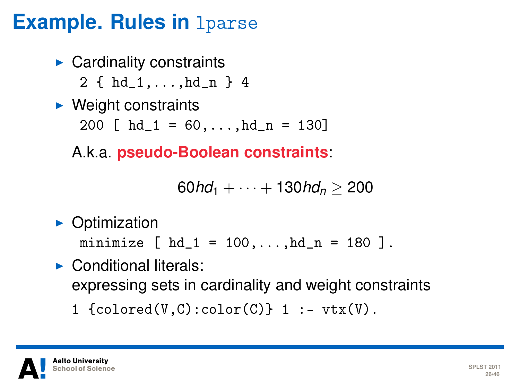#### **Example. Rules in** lparse

- $\blacktriangleright$  Cardinality constraints
	- 2 { hd\_1,...,hd\_n } 4
- $\blacktriangleright$  Weight constraints

200  $\lceil$  hd 1 = 60,...,hd n = 130]

A.k.a. **pseudo-Boolean constraints**:

```
60h\ddot{d}_1 + \cdots + 130h\ddot{d}_n > 200
```
 $\triangleright$  Optimization

minimize  $[ hd_1 = 100, ..., hd_n = 180 ]$ .

- $\blacktriangleright$  Conditional literals: expressing sets in cardinality and weight constraints
	- 1  ${colored}(V, C): color(C)$  1 :-  $vtx(V)$ .

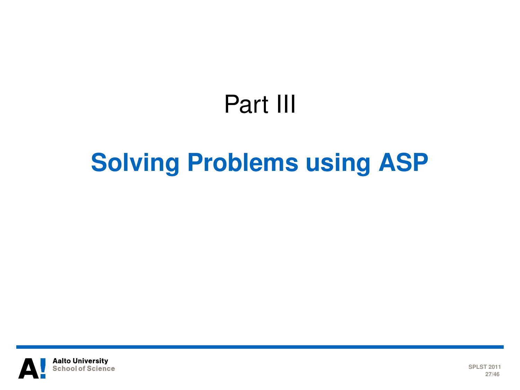# Part III

# **[Solving Problems using ASP](#page-26-0)**

<span id="page-26-0"></span>

**SPLST 2011 27/46**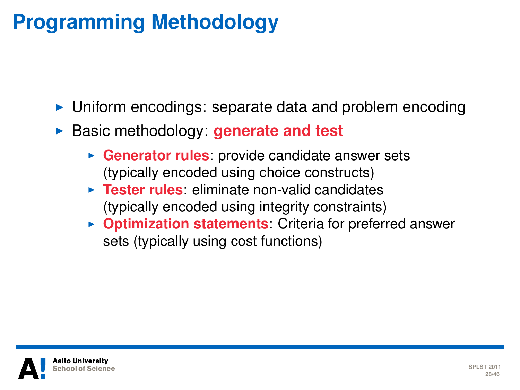### **Programming Methodology**

- $\triangleright$  Uniform encodings: separate data and problem encoding
- **Basic methodology: generate and test** 
	- **Generator rules**: provide candidate answer sets (typically encoded using choice constructs)
	- **Fester rules:** eliminate non-valid candidates (typically encoded using integrity constraints)
	- **Optimization statements:** Criteria for preferred answer sets (typically using cost functions)

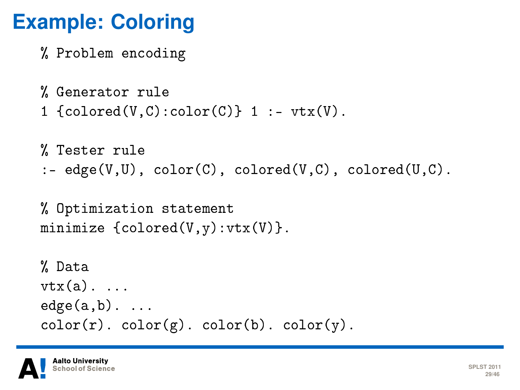#### **Example: Coloring**

```
% Problem encoding
```

```
% Generator rule
1 {colored}(V, C): color(C) 1 :- vtx(V).
```

```
% Tester rule
: edge(V,U), color(C), colored(V,C), colored(U,C).
```

```
% Optimization statement
minimize {colored(V, v):vtx(V)}.
```

```
% Data
vtx(a). ...
edge(a,b). ...
color(r). color(g). color(b). color(y).
```
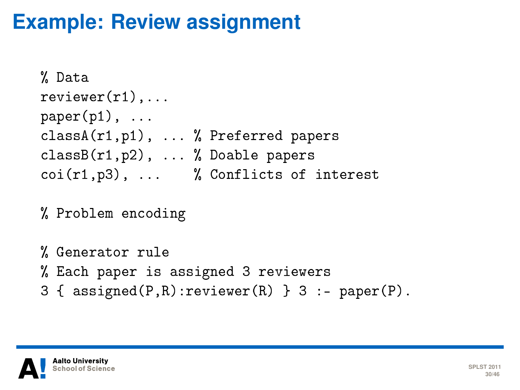#### **Example: Review assignment**

```
% Data
reviewer(r1),...
paper(p1), ...classA(r1,p1), ... % Preferred papers
classB(r1,p2), ... % Doable papers
coi(r1,p3), ... % Conflicts of interest
```
% Problem encoding

```
% Generator rule
% Each paper is assigned 3 reviewers
3 \{ assigned(P,R):reviewer(R) \} 3 :- paper(P).
```
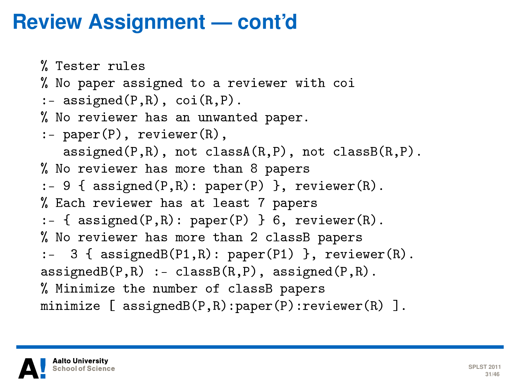#### **Review Assignment — cont'd**

```
% Tester rules
% No paper assigned to a reviewer with coi
: - assigned(P,R), \cot(R, P).
% No reviewer has an unwanted paper.
:- paper(P), reviewer(R),
   \texttt{assigned}(P,R), not classA(R,P), not classB(R,P).
% No reviewer has more than 8 papers
: -9 \{ assigned(P,R): paper(P) \}, reviewer(R).
% Each reviewer has at least 7 papers
:- { assigned(P,R): paper(P) } 6, reviewer(R).
% No reviewer has more than 2 classB papers
:- 3 { assignedB(P1,R): paper(P1) }, reviewer(R).
\texttt{assignedB}(P,R) :- classB(R,P), assigned(P,R).
% Minimize the number of classB papers
minimize [ assignedB(P,R):paper(P):reviewer(R) ].
```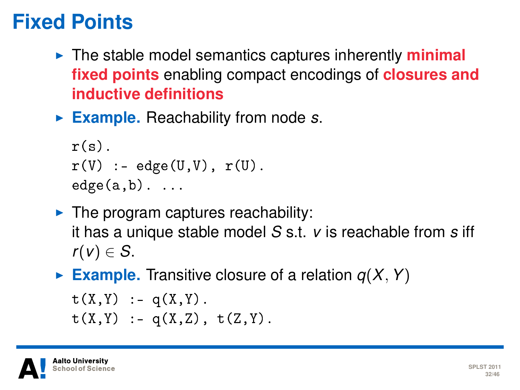#### **Fixed Points**

- I The stable model semantics captures inherently **minimal fixed points** enabling compact encodings of **closures and inductive definitions**
- ► Example. Reachability from node *s*.

```
r(s).
r(V) :- edge(U,V), r(U).
edge(a,b). ...
```
- $\blacktriangleright$  The program captures reachability: it has a unique stable model *S* s.t. *v* is reachable from *s* iff  $r(v) \in S$ .
- **Example.** Transitive closure of a relation  $q(X, Y)$

```
t(X,Y) := q(X,Y).
t(X,Y) := q(X,Z), t(Z,Y).
```
alto Universitv chool of Scienc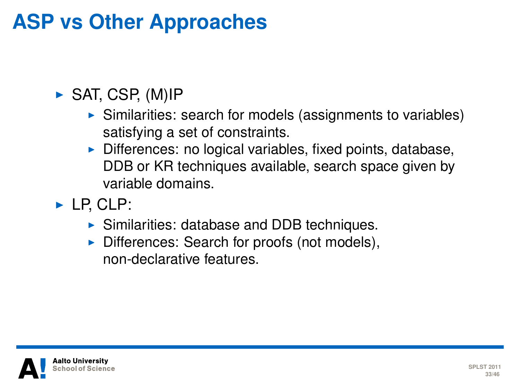### **ASP vs Other Approaches**

#### $\triangleright$  SAT, CSP, (M)IP

- $\triangleright$  Similarities: search for models (assignments to variables) satisfying a set of constraints.
- $\triangleright$  Differences: no logical variables, fixed points, database, DDB or KR techniques available, search space given by variable domains.
- $\blacktriangleright$  LP, CLP:
	- $\triangleright$  Similarities: database and DDB techniques.
	- $\triangleright$  Differences: Search for proofs (not models), non-declarative features.

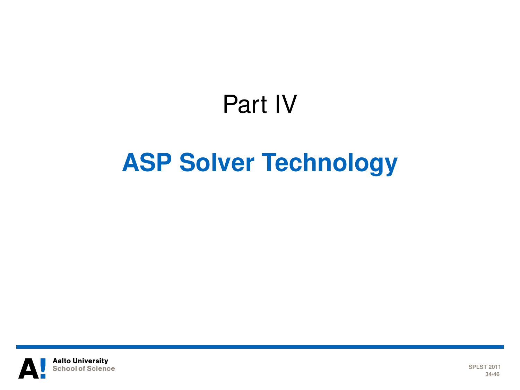# Part IV

# **[ASP Solver Technology](#page-33-0)**

<span id="page-33-0"></span>

**SPLST 2011 34/46**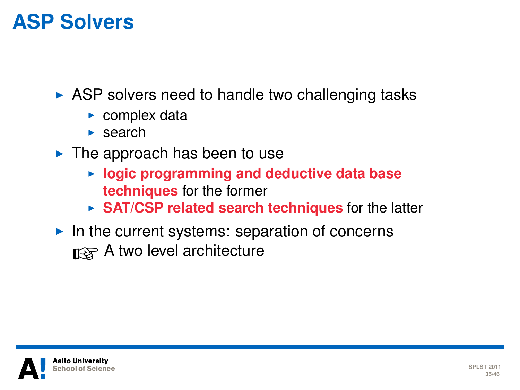#### **ASP Solvers**

 $\triangleright$  ASP solvers need to handle two challenging tasks

- $\triangleright$  complex data
- $\blacktriangleright$  search
- $\blacktriangleright$  The approach has been to use
	- **Example 1 bookstrain in and deductive data base techniques** for the former
	- **SAT/CSP related search techniques** for the latter
- $\blacktriangleright$  In the current systems: separation of concerns nogee A two level architecture

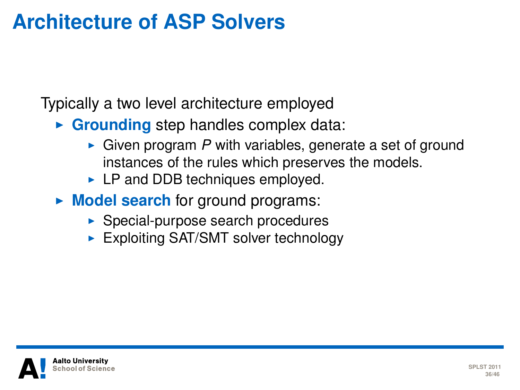#### **Architecture of ASP Solvers**

Typically a two level architecture employed

- **Grounding** step handles complex data:
	- $\triangleright$  Given program P with variables, generate a set of ground instances of the rules which preserves the models.
	- $\blacktriangleright$  LP and DDB techniques employed.
- **Model search** for ground programs:
	- $\triangleright$  Special-purpose search procedures
	- Exploiting SAT/SMT solver technology

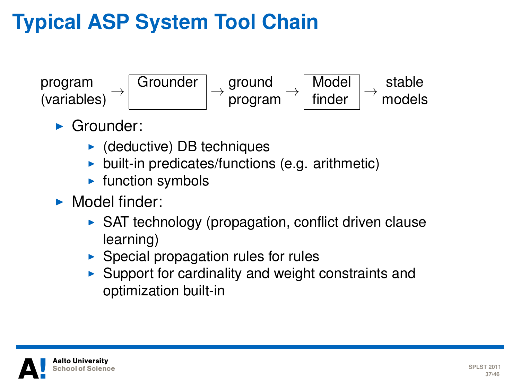### **Typical ASP System Tool Chain**



- $\blacktriangleright$  Grounder:
	- $\blacktriangleright$  (deductive) DB techniques
	- $\triangleright$  built-in predicates/functions (e.g. arithmetic)
	- $\blacktriangleright$  function symbols
- $\blacktriangleright$  Model finder:
	- $\triangleright$  SAT technology (propagation, conflict driven clause learning)
	- $\triangleright$  Special propagation rules for rules
	- $\triangleright$  Support for cardinality and weight constraints and optimization built-in

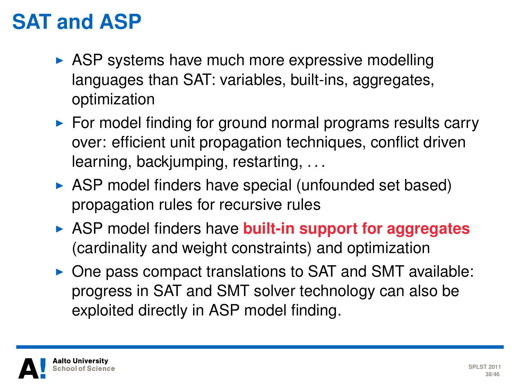#### **SAT and ASP**

- $\triangleright$  ASP systems have much more expressive modelling languages than SAT: variables, built-ins, aggregates, optimization
- $\triangleright$  For model finding for ground normal programs results carry over: efficient unit propagation techniques, conflict driven learning, backjumping, restarting, . . .
- $\triangleright$  ASP model finders have special (unfounded set based) propagation rules for recursive rules
- **EXALGE ASP model finders have built-in support for aggregates** (cardinality and weight constraints) and optimization
- $\triangleright$  One pass compact translations to SAT and SMT available: progress in SAT and SMT solver technology can also be exploited directly in ASP model finding.

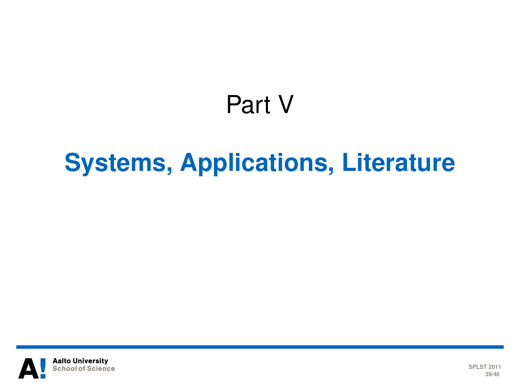# Part V

# **[Systems, Applications, Literature](#page-38-0)**

<span id="page-38-0"></span>

**SPLST 2011 39/46**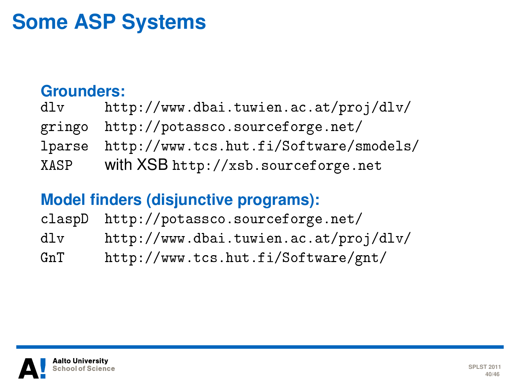#### **Some ASP Systems**

#### **Grounders:**

| d1v  | http://www.dbai.tuwien.ac.at/proj/dlv/         |
|------|------------------------------------------------|
|      | gringo http://potassco.sourceforge.net/        |
|      | lparse http://www.tcs.hut.fi/Software/smodels/ |
| XASP | with XSB http://xsb.sourceforge.net            |

#### **Model finders (disjunctive programs):**

|     | claspD http://potassco.sourceforge.net/ |
|-----|-----------------------------------------|
| dlv | http://www.dbai.tuwien.ac.at/proj/dlv/  |
| GnT | http://www.tcs.hut.fi/Software/gnt/     |

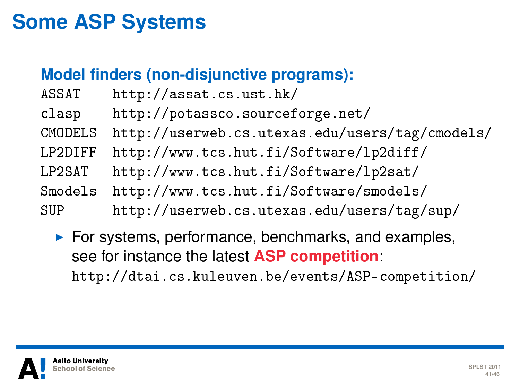#### **Some ASP Systems**

#### **Model finders (non-disjunctive programs):**

| ASSAT   | http://assat.cs.ust.hk/                         |
|---------|-------------------------------------------------|
| clasp   | http://potassco.sourceforge.net/                |
| CMODELS | http://userweb.cs.utexas.edu/users/tag/cmodels/ |
| LP2DIFF | http://www.tcs.hut.fi/Software/lp2diff/         |
| LP2SAT  | http://www.tcs.hut.fi/Software/lp2sat/          |
| Smodels | http://www.tcs.hut.fi/Software/smodels/         |
| SUP     | http://userweb.cs.utexas.edu/users/tag/sup/     |

 $\blacktriangleright$  For systems, performance, benchmarks, and examples, see for instance the latest **ASP competition**: <http://dtai.cs.kuleuven.be/events/ASP-competition/>

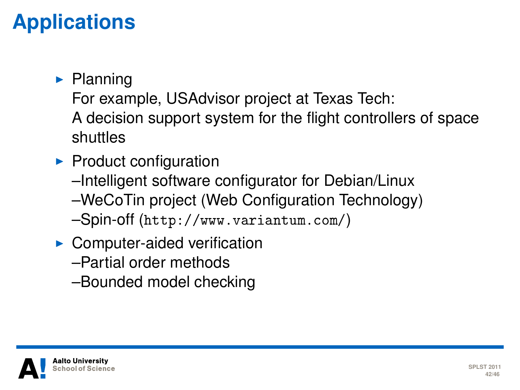### **Applications**

#### $\blacktriangleright$  Planning

For example, USAdvisor project at Texas Tech: A decision support system for the flight controllers of space shuttles

- $\blacktriangleright$  Product configuration
	- –Intelligent software configurator for Debian/Linux –WeCoTin project (Web Configuration Technology)

–Spin-off (<http://www.variantum.com/>)

- $\triangleright$  Computer-aided verification
	- –Partial order methods
	- –Bounded model checking

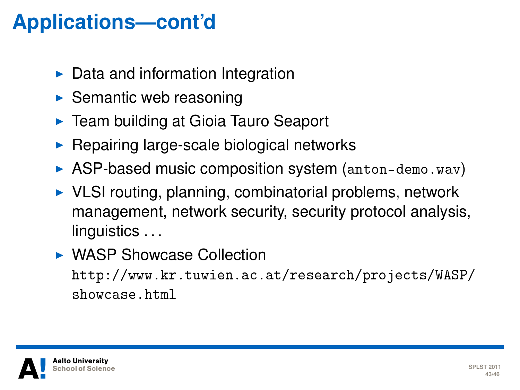### **Applications—cont'd**

- $\triangleright$  Data and information Integration
- $\triangleright$  Semantic web reasoning
- ► Team building at Gioia Tauro Seaport
- $\triangleright$  Repairing large-scale biological networks
- $\triangleright$  ASP-based music composition system (<anton-demo.wav>)
- $\triangleright$  VLSI routing, planning, combinatorial problems, network management, network security, security protocol analysis, linguistics ...
- ▶ WASP Showcase Collection [http://www.kr.tuwien.ac.at/research/projects/WASP/](http://www.kr.tuwien.ac.at/research/projects/WASP/showcase.html) [showcase.html](http://www.kr.tuwien.ac.at/research/projects/WASP/showcase.html)

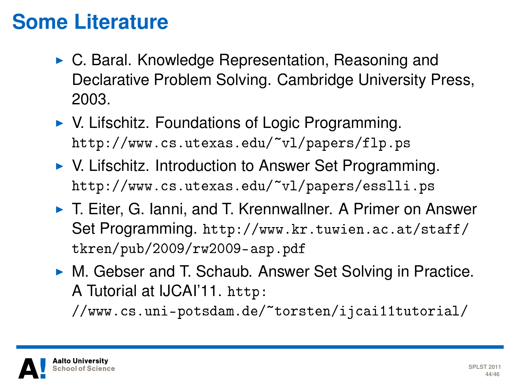#### **Some Literature**

- $\triangleright$  C. Baral. Knowledge Representation, Reasoning and Declarative Problem Solving. Cambridge University Press, 2003.
- $\triangleright$  V. Lifschitz. Foundations of Logic Programming. <http://www.cs.utexas.edu/~vl/papers/flp.ps>
- ▶ V. Lifschitz. Introduction to Answer Set Programming. <http://www.cs.utexas.edu/~vl/papers/esslli.ps>
- ► T. Eiter, G. Janni, and T. Krennwallner. A Primer on Answer Set Programming. [http://www.kr.tuwien.ac.at/staff/](http://www.kr.tuwien.ac.at/staff/tkren/pub/2009/rw2009-asp.pdf) [tkren/pub/2009/rw2009-asp.pdf](http://www.kr.tuwien.ac.at/staff/tkren/pub/2009/rw2009-asp.pdf)
- ► M. Gebser and T. Schaub. Answer Set Solving in Practice. A Tutorial at IJCAI'11. [http:](http://www.cs.uni-potsdam.de/~torsten/ijcai11tutorial/)

[//www.cs.uni-potsdam.de/~torsten/ijcai11tutorial/](http://www.cs.uni-potsdam.de/~torsten/ijcai11tutorial/)

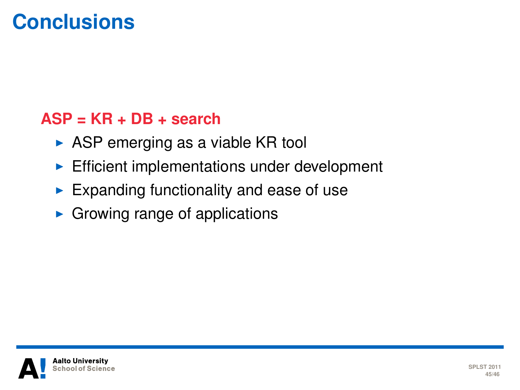#### **Conclusions**

#### **ASP = KR + DB + search**

- $\triangleright$  ASP emerging as a viable KR tool
- $\blacktriangleright$  Efficient implementations under development
- $\blacktriangleright$  Expanding functionality and ease of use
- $\triangleright$  Growing range of applications